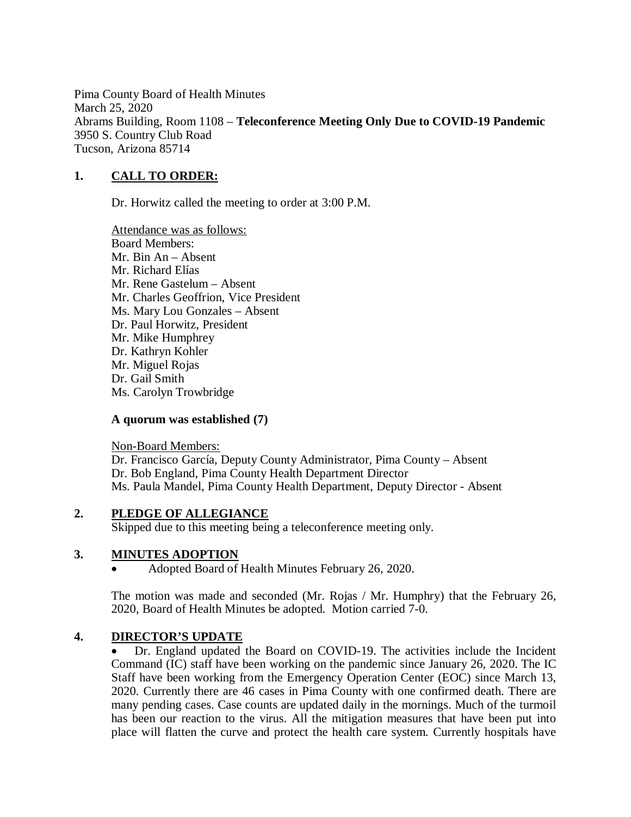Pima County Board of Health Minutes March 25, 2020 Abrams Building, Room 1108 – **Teleconference Meeting Only Due to COVID-19 Pandemic** 3950 S. Country Club Road Tucson, Arizona 85714

## **1. CALL TO ORDER:**

Dr. Horwitz called the meeting to order at 3:00 P.M.

Attendance was as follows: Board Members: Mr. Bin An – Absent Mr. Richard Elías Mr. Rene Gastelum – Absent Mr. Charles Geoffrion, Vice President Ms. Mary Lou Gonzales – Absent Dr. Paul Horwitz, President Mr. Mike Humphrey Dr. Kathryn Kohler Mr. Miguel Rojas Dr. Gail Smith Ms. Carolyn Trowbridge

#### **A quorum was established (7)**

Non-Board Members: Dr. Francisco García, Deputy County Administrator, Pima County – Absent Dr. Bob England, Pima County Health Department Director Ms. Paula Mandel, Pima County Health Department, Deputy Director - Absent

### **2. PLEDGE OF ALLEGIANCE**

Skipped due to this meeting being a teleconference meeting only.

### **3. MINUTES ADOPTION**

Adopted Board of Health Minutes February 26, 2020.

The motion was made and seconded (Mr. Rojas / Mr. Humphry) that the February 26, 2020, Board of Health Minutes be adopted. Motion carried 7-0.

### **4. DIRECTOR'S UPDATE**

 Dr. England updated the Board on COVID-19. The activities include the Incident Command (IC) staff have been working on the pandemic since January 26, 2020. The IC Staff have been working from the Emergency Operation Center (EOC) since March 13, 2020. Currently there are 46 cases in Pima County with one confirmed death. There are many pending cases. Case counts are updated daily in the mornings. Much of the turmoil has been our reaction to the virus. All the mitigation measures that have been put into place will flatten the curve and protect the health care system. Currently hospitals have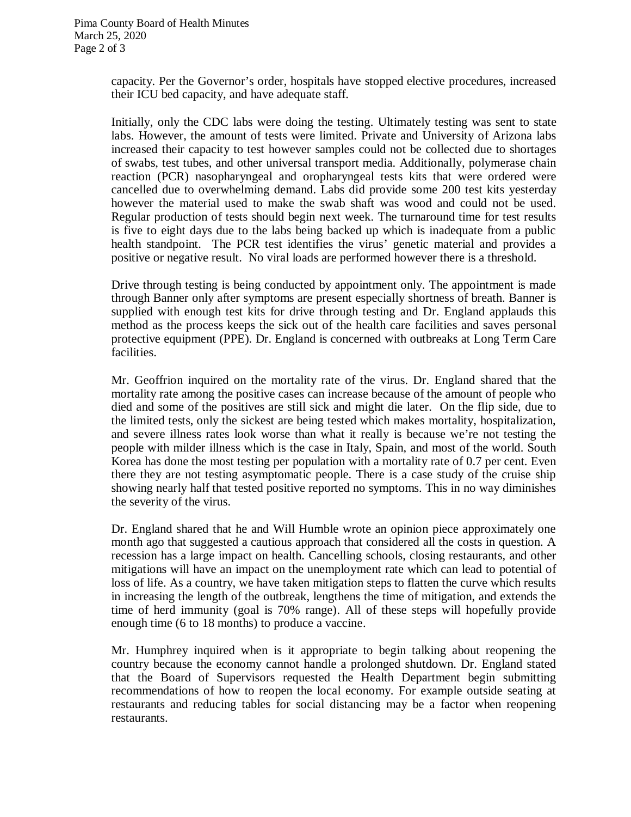capacity. Per the Governor's order, hospitals have stopped elective procedures, increased their ICU bed capacity, and have adequate staff.

Initially, only the CDC labs were doing the testing. Ultimately testing was sent to state labs. However, the amount of tests were limited. Private and University of Arizona labs increased their capacity to test however samples could not be collected due to shortages of swabs, test tubes, and other universal transport media. Additionally, polymerase chain reaction (PCR) nasopharyngeal and oropharyngeal tests kits that were ordered were cancelled due to overwhelming demand. Labs did provide some 200 test kits yesterday however the material used to make the swab shaft was wood and could not be used. Regular production of tests should begin next week. The turnaround time for test results is five to eight days due to the labs being backed up which is inadequate from a public health standpoint. The PCR test identifies the virus' genetic material and provides a positive or negative result. No viral loads are performed however there is a threshold.

Drive through testing is being conducted by appointment only. The appointment is made through Banner only after symptoms are present especially shortness of breath. Banner is supplied with enough test kits for drive through testing and Dr. England applauds this method as the process keeps the sick out of the health care facilities and saves personal protective equipment (PPE). Dr. England is concerned with outbreaks at Long Term Care facilities.

Mr. Geoffrion inquired on the mortality rate of the virus. Dr. England shared that the mortality rate among the positive cases can increase because of the amount of people who died and some of the positives are still sick and might die later. On the flip side, due to the limited tests, only the sickest are being tested which makes mortality, hospitalization, and severe illness rates look worse than what it really is because we're not testing the people with milder illness which is the case in Italy, Spain, and most of the world. South Korea has done the most testing per population with a mortality rate of 0.7 per cent. Even there they are not testing asymptomatic people. There is a case study of the cruise ship showing nearly half that tested positive reported no symptoms. This in no way diminishes the severity of the virus.

Dr. England shared that he and Will Humble wrote an opinion piece approximately one month ago that suggested a cautious approach that considered all the costs in question. A recession has a large impact on health. Cancelling schools, closing restaurants, and other mitigations will have an impact on the unemployment rate which can lead to potential of loss of life. As a country, we have taken mitigation steps to flatten the curve which results in increasing the length of the outbreak, lengthens the time of mitigation, and extends the time of herd immunity (goal is 70% range). All of these steps will hopefully provide enough time (6 to 18 months) to produce a vaccine.

Mr. Humphrey inquired when is it appropriate to begin talking about reopening the country because the economy cannot handle a prolonged shutdown. Dr. England stated that the Board of Supervisors requested the Health Department begin submitting recommendations of how to reopen the local economy. For example outside seating at restaurants and reducing tables for social distancing may be a factor when reopening restaurants.